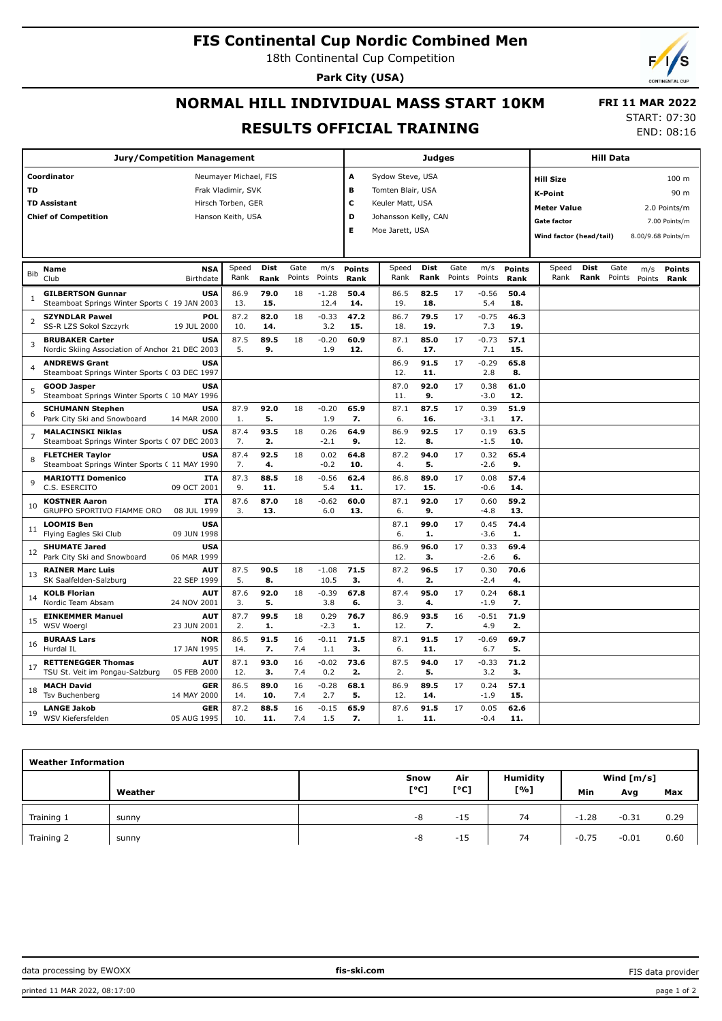## **FIS Continental Cup Nordic Combined Men**

18th Continental Cup Competition

**Park City (USA)**

# **NORMAL HILL INDIVIDUAL MASS START 10KM RESULTS OFFICIAL TRAINING**

 **FRI 11 MAR 2022** START: 07:30

END: 08:16

| <b>Jury/Competition Management</b>                                      |                                                                           |                                |                                                                                        |                     |                |                 |                       | <b>Judges</b>                                                                                        |                     |                |                |                       |                                                                                                                                                                                   | <b>Hill Data</b>    |                |               |                       |  |  |
|-------------------------------------------------------------------------|---------------------------------------------------------------------------|--------------------------------|----------------------------------------------------------------------------------------|---------------------|----------------|-----------------|-----------------------|------------------------------------------------------------------------------------------------------|---------------------|----------------|----------------|-----------------------|-----------------------------------------------------------------------------------------------------------------------------------------------------------------------------------|---------------------|----------------|---------------|-----------------------|--|--|
| Coordinator<br>TD<br><b>TD Assistant</b><br><b>Chief of Competition</b> |                                                                           |                                | Neumayer Michael, FIS<br>Frak Vladimir, SVK<br>Hirsch Torben, GER<br>Hanson Keith, USA |                     |                |                 | A<br>в<br>с<br>D<br>Е | Sydow Steve, USA<br>Tomten Blair, USA<br>Keuler Matt, USA<br>Johansson Kelly, CAN<br>Moe Jarett, USA |                     |                |                |                       | <b>Hill Size</b><br>100 m<br><b>K-Point</b><br>90 m<br><b>Meter Value</b><br>2.0 Points/m<br><b>Gate factor</b><br>7.00 Points/m<br>Wind factor (head/tail)<br>8.00/9.68 Points/m |                     |                |               |                       |  |  |
| Bib                                                                     | Name<br>Club                                                              | <b>NSA</b><br><b>Birthdate</b> | Speed<br>Rank                                                                          | <b>Dist</b><br>Rank | Gate<br>Points | m/s<br>Points   | <b>Points</b><br>Rank | Speed<br>Rank                                                                                        | <b>Dist</b><br>Rank | Gate<br>Points | m/s<br>Points  | <b>Points</b><br>Rank | Speed<br>Rank                                                                                                                                                                     | <b>Dist</b><br>Rank | Gate<br>Points | m/s<br>Points | <b>Points</b><br>Rank |  |  |
| 1                                                                       | <b>GILBERTSON Gunnar</b><br>Steamboat Springs Winter Sports ( 19 JAN 2003 | <b>USA</b>                     | 86.9<br>13.                                                                            | 79.0<br>15.         | 18             | $-1.28$<br>12.4 | 50.4<br>14.           | 86.5<br>19.                                                                                          | 82.5<br>18.         | 17             | $-0.56$<br>5.4 | 50.4<br>18.           |                                                                                                                                                                                   |                     |                |               |                       |  |  |
| $\overline{2}$                                                          | <b>SZYNDLAR Pawel</b><br>SS-R LZS Sokol Szczyrk                           | POL<br>19 JUL 2000             | 87.2<br>10.                                                                            | 82.0<br>14.         | 18             | $-0.33$<br>3.2  | 47.2<br>15.           | 86.7<br>18.                                                                                          | 79.5<br>19.         | 17             | $-0.75$<br>7.3 | 46.3<br>19.           |                                                                                                                                                                                   |                     |                |               |                       |  |  |
| 3                                                                       | <b>BRUBAKER Carter</b><br>Nordic Skiing Association of Anchor 21 DEC 2003 | <b>USA</b>                     | 87.5<br>5.                                                                             | 89.5<br>9.          | 18             | $-0.20$<br>1.9  | 60.9<br>12.           | 87.1<br>6.                                                                                           | 85.0<br>17.         | 17             | $-0.73$<br>7.1 | 57.1<br>15.           |                                                                                                                                                                                   |                     |                |               |                       |  |  |
|                                                                         | <b>ANDREWS Grant</b><br>Steamboat Springs Winter Sports (03 DEC 1997      | <b>USA</b>                     |                                                                                        |                     |                |                 |                       | 86.9<br>12.                                                                                          | 91.5<br>11.         | 17             | $-0.29$<br>2.8 | 65.8<br>8.            |                                                                                                                                                                                   |                     |                |               |                       |  |  |
| 5                                                                       | <b>GOOD Jasper</b><br>Steamboat Springs Winter Sports C 10 MAY 1996       | <b>USA</b>                     |                                                                                        |                     |                |                 |                       | 87.0<br>11.                                                                                          | 92.0<br>9.          | 17             | 0.38<br>$-3.0$ | 61.0<br>12.           |                                                                                                                                                                                   |                     |                |               |                       |  |  |
| 6                                                                       | <b>SCHUMANN Stephen</b><br>Park City Ski and Snowboard                    | <b>USA</b><br>14 MAR 2000      | 87.9<br>1.                                                                             | 92.0<br>5.          | 18             | $-0.20$<br>1.9  | 65.9<br>7.            | 87.1<br>6.                                                                                           | 87.5<br>16.         | 17             | 0.39<br>$-3.1$ | 51.9<br>17.           |                                                                                                                                                                                   |                     |                |               |                       |  |  |
| $\overline{7}$                                                          | <b>MALACINSKI Niklas</b><br>Steamboat Springs Winter Sports C 07 DEC 2003 | <b>USA</b>                     | 87.4<br>7.                                                                             | 93.5<br>2.          | 18             | 0.26<br>$-2.1$  | 64.9<br>9.            | 86.9<br>12.                                                                                          | 92.5<br>8.          | 17             | 0.19<br>$-1.5$ | 63.5<br>10.           |                                                                                                                                                                                   |                     |                |               |                       |  |  |
| 8                                                                       | <b>FLETCHER Taylor</b><br>Steamboat Springs Winter Sports C 11 MAY 1990   | <b>USA</b>                     | 87.4<br>7.                                                                             | 92.5<br>4.          | 18             | 0.02<br>$-0.2$  | 64.8<br>10.           | 87.2<br>4.                                                                                           | 94.0<br>5.          | 17             | 0.32<br>$-2.6$ | 65.4<br>9.            |                                                                                                                                                                                   |                     |                |               |                       |  |  |
| 9                                                                       | <b>MARIOTTI Domenico</b><br>C.S. ESERCITO                                 | <b>ITA</b><br>09 OCT 2001      | 87.3<br>9.                                                                             | 88.5<br>11.         | 18             | $-0.56$<br>5.4  | 62.4<br>11.           | 86.8<br>17.                                                                                          | 89.0<br>15.         | 17             | 0.08<br>$-0.6$ | 57.4<br>14.           |                                                                                                                                                                                   |                     |                |               |                       |  |  |
| 10                                                                      | <b>KOSTNER Aaron</b><br>GRUPPO SPORTIVO FIAMME ORO                        | <b>ITA</b><br>08 JUL 1999      | 87.6<br>3.                                                                             | 87.0<br>13.         | 18             | $-0.62$<br>6.0  | 60.0<br>13.           | 87.1<br>6.                                                                                           | 92.0<br>9.          | 17             | 0.60<br>$-4.8$ | 59.2<br>13.           |                                                                                                                                                                                   |                     |                |               |                       |  |  |
| 11                                                                      | <b>LOOMIS Ben</b><br>Flying Eagles Ski Club                               | <b>USA</b><br>09 JUN 1998      |                                                                                        |                     |                |                 |                       | 87.1<br>6.                                                                                           | 99.0<br>1.          | 17             | 0.45<br>$-3.6$ | 74.4<br>1.            |                                                                                                                                                                                   |                     |                |               |                       |  |  |
| 12                                                                      | <b>SHUMATE Jared</b><br>Park City Ski and Snowboard                       | <b>USA</b><br>06 MAR 1999      |                                                                                        |                     |                |                 |                       | 86.9<br>12.                                                                                          | 96.0<br>з.          | 17             | 0.33<br>$-2.6$ | 69.4<br>6.            |                                                                                                                                                                                   |                     |                |               |                       |  |  |
| 13                                                                      | <b>RAINER Marc Luis</b><br>SK Saalfelden-Salzburg                         | <b>AUT</b><br>22 SEP 1999      | 87.5<br>5.                                                                             | 90.5<br>8.          | 18             | $-1.08$<br>10.5 | 71.5<br>3.            | 87.2<br>4.                                                                                           | 96.5<br>2.          | 17             | 0.30<br>$-2.4$ | 70.6<br>4.            |                                                                                                                                                                                   |                     |                |               |                       |  |  |
| 14                                                                      | <b>KOLB Florian</b><br>Nordic Team Absam                                  | <b>AUT</b><br>24 NOV 2001      | 87.6<br>3.                                                                             | 92.0<br>5.          | 18             | $-0.39$<br>3.8  | 67.8<br>6.            | 87.4<br>3.                                                                                           | 95.0<br>4.          | 17             | 0.24<br>$-1.9$ | 68.1<br>7.            |                                                                                                                                                                                   |                     |                |               |                       |  |  |
| 15                                                                      | <b>EINKEMMER Manuel</b><br><b>WSV Woergl</b>                              | <b>AUT</b><br>23 JUN 2001      | 87.7<br>2.                                                                             | 99.5<br>1.          | 18             | 0.29<br>$-2.3$  | 76.7<br>1.            | 86.9<br>12.                                                                                          | 93.5<br>7.          | 16             | $-0.51$<br>4.9 | 71.9<br>2.            |                                                                                                                                                                                   |                     |                |               |                       |  |  |
| 16                                                                      | <b>BURAAS Lars</b><br>Hurdal IL                                           | <b>NOR</b><br>17 JAN 1995      | 86.5<br>14.                                                                            | 91.5<br>7.          | 16<br>7.4      | $-0.11$<br>1.1  | 71.5<br>3.            | 87.1<br>6.                                                                                           | 91.5<br>11.         | 17             | $-0.69$<br>6.7 | 69.7<br>5.            |                                                                                                                                                                                   |                     |                |               |                       |  |  |
| 17                                                                      | <b>RETTENEGGER Thomas</b><br>TSU St. Veit im Pongau-Salzburg              | <b>AUT</b><br>05 FEB 2000      | 87.1<br>12.                                                                            | 93.0<br>3.          | 16<br>7.4      | $-0.02$<br>0.2  | 73.6<br>2.            | 87.5<br>2.                                                                                           | 94.0<br>5.          | 17             | $-0.33$<br>3.2 | 71.2<br>з.            |                                                                                                                                                                                   |                     |                |               |                       |  |  |
| 18                                                                      | <b>MACH David</b><br><b>Tsv Buchenberg</b>                                | <b>GER</b><br>14 MAY 2000      | 86.5<br>14.                                                                            | 89.0<br>10.         | 16<br>7.4      | $-0.28$<br>2.7  | 68.1<br>5.            | 86.9<br>12.                                                                                          | 89.5<br>14.         | 17             | 0.24<br>$-1.9$ | 57.1<br>15.           |                                                                                                                                                                                   |                     |                |               |                       |  |  |
| 19                                                                      | <b>LANGE Jakob</b><br>WSV Kiefersfelden                                   | <b>GER</b><br>05 AUG 1995      | 87.2<br>10.                                                                            | 88.5<br>11.         | 16<br>7.4      | $-0.15$<br>1.5  | 65.9<br>7.            | 87.6<br>1.                                                                                           | 91.5<br>11.         | 17             | 0.05<br>$-0.4$ | 62.6<br>11.           |                                                                                                                                                                                   |                     |                |               |                       |  |  |

| <b>Weather Information</b> |         |      |       |                 |              |         |      |  |  |  |  |  |  |
|----------------------------|---------|------|-------|-----------------|--------------|---------|------|--|--|--|--|--|--|
|                            |         | Snow | Air   | <b>Humidity</b> | Wind $[m/s]$ |         |      |  |  |  |  |  |  |
|                            | Weather | [°C] | [°c]  | [%]             | Min          | Avg     | Max  |  |  |  |  |  |  |
| Training 1                 | sunny   | -8   | $-15$ | 74              | $-1.28$      | $-0.31$ | 0.29 |  |  |  |  |  |  |
| Training 2                 | sunny   | -8   | $-15$ | 74              | $-0.75$      | $-0.01$ | 0.60 |  |  |  |  |  |  |